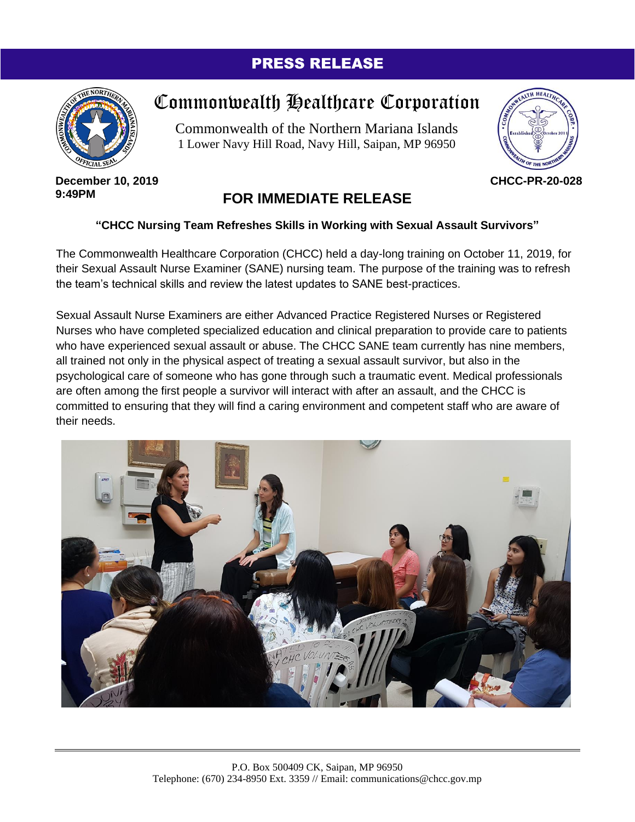## PRESS RELEASE



## Commonwealth Healthcare Corporation

Commonwealth of the Northern Mariana Islands 1 Lower Navy Hill Road, Navy Hill, Saipan, MP 96950



**December 10, 2019 9:49PM**

## **FOR IMMEDIATE RELEASE**

## **"CHCC Nursing Team Refreshes Skills in Working with Sexual Assault Survivors"**

The Commonwealth Healthcare Corporation (CHCC) held a day-long training on October 11, 2019, for their Sexual Assault Nurse Examiner (SANE) nursing team. The purpose of the training was to refresh the team's technical skills and review the latest updates to SANE best-practices.

Sexual Assault Nurse Examiners are either Advanced Practice Registered Nurses or Registered Nurses who have completed specialized education and clinical preparation to provide care to patients who have experienced sexual assault or abuse. The CHCC SANE team currently has nine members, all trained not only in the physical aspect of treating a sexual assault survivor, but also in the psychological care of someone who has gone through such a traumatic event. Medical professionals are often among the first people a survivor will interact with after an assault, and the CHCC is committed to ensuring that they will find a caring environment and competent staff who are aware of their needs.